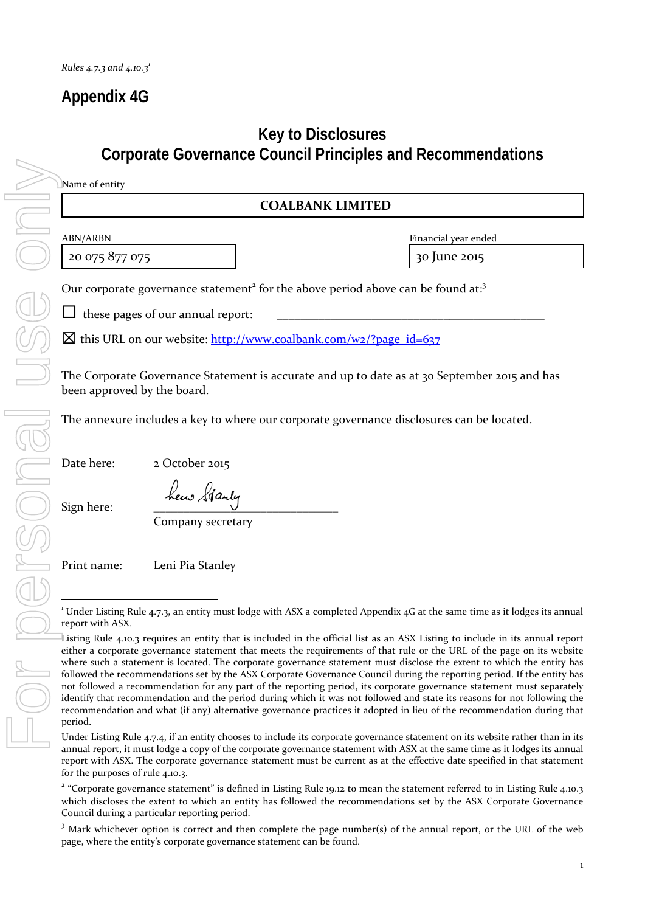## **Appendix 4G**

### **Key to Disclosures Corporate Governance Council Principles and Recommendations**

#### **COALBANK LIMITED**

20 075 877 075 **30 June 2015** 

ABN/ARBN Financial year ended

Our corporate governance statement<sup>2</sup> for the above period above can be found at:<sup>3</sup>

 $\Box$  these pages of our annual report:

 $\boxtimes$  this URL on our website: http://www.coalbank.com/w2/?page\_id=637

The Corporate Governance Statement is accurate and up to date as at 30 September 2015 and has been approved by the board.

The annexure includes a key to where our corporate governance disclosures can be located.

Date here: 2 October 2015

Sign here:

Company secretary

Print name: Leni Pia Stanley

<u> 1989 - Johann Stein, fransk politik (d. 1989)</u>

 $^1$  Under Listing Rule 4.7.3, an entity must lodge with ASX a completed Appendix 4G at the same time as it lodges its annual report with ASX.

Listing Rule 4.10.3 requires an entity that is included in the official list as an ASX Listing to include in its annual report either a corporate governance statement that meets the requirements of that rule or the URL of the page on its website where such a statement is located. The corporate governance statement must disclose the extent to which the entity has followed the recommendations set by the ASX Corporate Governance Council during the reporting period. If the entity has not followed a recommendation for any part of the reporting period, its corporate governance statement must separately identify that recommendation and the period during which it was not followed and state its reasons for not following the recommendation and what (if any) alternative governance practices it adopted in lieu of the recommendation during that period.

Under Listing Rule 4.7.4, if an entity chooses to include its corporate governance statement on its website rather than in its annual report, it must lodge a copy of the corporate governance statement with ASX at the same time as it lodges its annual report with ASX. The corporate governance statement must be current as at the effective date specified in that statement for the purposes of rule 4.10.3.

<sup>&</sup>lt;sup>2</sup> "Corporate governance statement" is defined in Listing Rule 19.12 to mean the statement referred to in Listing Rule 4.10.3 which discloses the extent to which an entity has followed the recommendations set by the ASX Corporate Governance Council during a particular reporting period.

<sup>&</sup>lt;sup>3</sup> Mark whichever option is correct and then complete the page number(s) of the annual report, or the URL of the web page, where the entity's corporate governance statement can be found.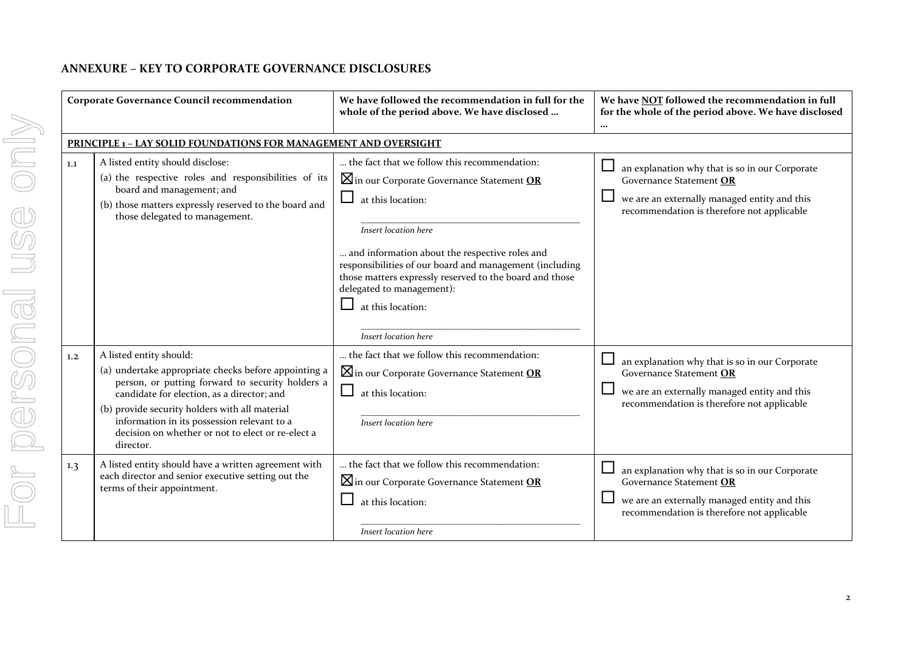#### **ANNEXURE – KEY TO CORPORATE GOVERNANCE DISCLOSURES**

| <b>Corporate Governance Council recommendation</b> |                                                                                                                                                                                                                                                                                                                                                      | We have followed the recommendation in full for the<br>whole of the period above. We have disclosed                                                                                                                                                                                                                                                                                                             | We have NOT followed the recommendation in full<br>for the whole of the period above. We have disclosed<br>                                                                                 |  |
|----------------------------------------------------|------------------------------------------------------------------------------------------------------------------------------------------------------------------------------------------------------------------------------------------------------------------------------------------------------------------------------------------------------|-----------------------------------------------------------------------------------------------------------------------------------------------------------------------------------------------------------------------------------------------------------------------------------------------------------------------------------------------------------------------------------------------------------------|---------------------------------------------------------------------------------------------------------------------------------------------------------------------------------------------|--|
|                                                    | <b>PRINCIPLE 1 - LAY SOLID FOUNDATIONS FOR MANAGEMENT AND OVERSIGHT</b>                                                                                                                                                                                                                                                                              |                                                                                                                                                                                                                                                                                                                                                                                                                 |                                                                                                                                                                                             |  |
| 1.1                                                | A listed entity should disclose:<br>(a) the respective roles and responsibilities of its<br>board and management; and<br>(b) those matters expressly reserved to the board and<br>those delegated to management.                                                                                                                                     | the fact that we follow this recommendation:<br>$\boxtimes$ in our Corporate Governance Statement OR<br>$\sqcup$<br>at this location:<br>Insert location here<br>and information about the respective roles and<br>responsibilities of our board and management (including<br>those matters expressly reserved to the board and those<br>delegated to management):<br>at this location:<br>Insert location here | $\Box$<br>an explanation why that is so in our Corporate<br>Governance Statement OR<br>$\Box$<br>we are an externally managed entity and this<br>recommendation is therefore not applicable |  |
| 1.2                                                | A listed entity should:<br>(a) undertake appropriate checks before appointing a<br>person, or putting forward to security holders a<br>candidate for election, as a director; and<br>(b) provide security holders with all material<br>information in its possession relevant to a<br>decision on whether or not to elect or re-elect a<br>director. | the fact that we follow this recommendation:<br>$\boxtimes$ in our Corporate Governance Statement OR<br>$\mathcal{L}_{\mathcal{A}}$<br>at this location:<br>Insert location here                                                                                                                                                                                                                                | $\Box$ an explanation why that is so in our Corporate<br>Governance Statement OR<br>we are an externally managed entity and this<br>recommendation is therefore not applicable              |  |
| 1.3                                                | A listed entity should have a written agreement with<br>each director and senior executive setting out the<br>terms of their appointment.                                                                                                                                                                                                            | the fact that we follow this recommendation:<br>$\boxtimes$ in our Corporate Governance Statement OR<br>at this location:<br>Insert location here                                                                                                                                                                                                                                                               | $\sqcup$<br>an explanation why that is so in our Corporate<br>Governance Statement OR<br>we are an externally managed entity and this<br>recommendation is therefore not applicable         |  |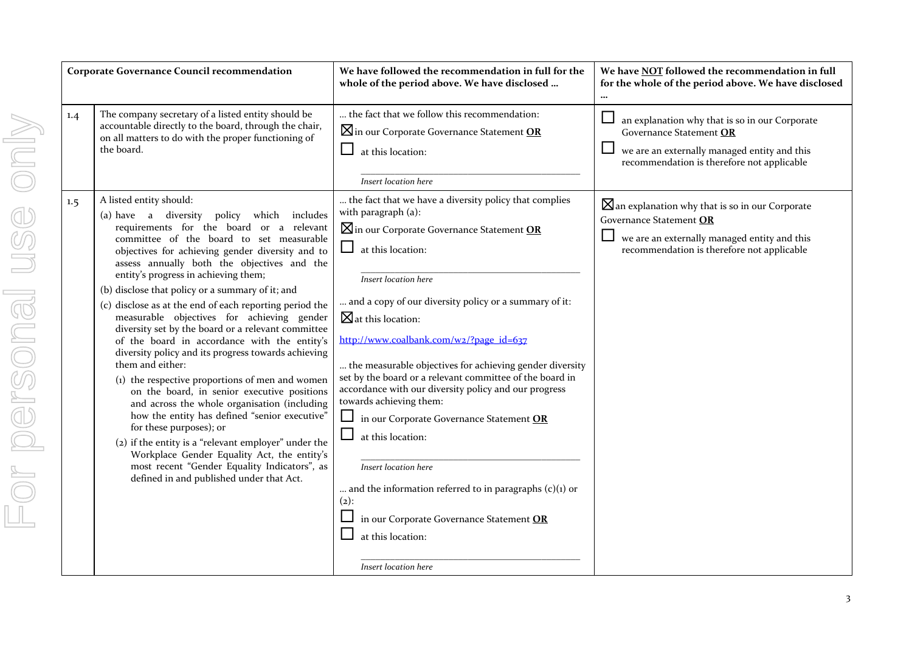| <b>Corporate Governance Council recommendation</b> |                                                                                                                                                                                                                                                                                                                                                                                                                                                                                                                                                                                                                                                                                                                                                                                                                                                                                                                                                                                                                                                                                         | We have followed the recommendation in full for the<br>whole of the period above. We have disclosed                                                                                                                                                                                                                                                                                                                                                                                                                                                                                                                                                                                                                                                                                                                       | We have NOT followed the recommendation in full<br>for the whole of the period above. We have disclosed                                                                             |
|----------------------------------------------------|-----------------------------------------------------------------------------------------------------------------------------------------------------------------------------------------------------------------------------------------------------------------------------------------------------------------------------------------------------------------------------------------------------------------------------------------------------------------------------------------------------------------------------------------------------------------------------------------------------------------------------------------------------------------------------------------------------------------------------------------------------------------------------------------------------------------------------------------------------------------------------------------------------------------------------------------------------------------------------------------------------------------------------------------------------------------------------------------|---------------------------------------------------------------------------------------------------------------------------------------------------------------------------------------------------------------------------------------------------------------------------------------------------------------------------------------------------------------------------------------------------------------------------------------------------------------------------------------------------------------------------------------------------------------------------------------------------------------------------------------------------------------------------------------------------------------------------------------------------------------------------------------------------------------------------|-------------------------------------------------------------------------------------------------------------------------------------------------------------------------------------|
| 1.4                                                | The company secretary of a listed entity should be<br>accountable directly to the board, through the chair,<br>on all matters to do with the proper functioning of<br>the board.                                                                                                                                                                                                                                                                                                                                                                                                                                                                                                                                                                                                                                                                                                                                                                                                                                                                                                        | the fact that we follow this recommendation:<br><b>X</b> in our Corporate Governance Statement OR<br>⊔<br>at this location:<br>Insert location here                                                                                                                                                                                                                                                                                                                                                                                                                                                                                                                                                                                                                                                                       | an explanation why that is so in our Corporate<br>Governance Statement OR<br>we are an externally managed entity and this<br>recommendation is therefore not applicable             |
| $1.5\phantom{0}$                                   | A listed entity should:<br>(a) have a diversity policy which includes<br>requirements for the board or a relevant<br>committee of the board to set measurable<br>objectives for achieving gender diversity and to<br>assess annually both the objectives and the<br>entity's progress in achieving them;<br>(b) disclose that policy or a summary of it; and<br>(c) disclose as at the end of each reporting period the<br>measurable objectives for achieving gender<br>diversity set by the board or a relevant committee<br>of the board in accordance with the entity's<br>diversity policy and its progress towards achieving<br>them and either:<br>(1) the respective proportions of men and women<br>on the board, in senior executive positions<br>and across the whole organisation (including<br>how the entity has defined "senior executive"<br>for these purposes); or<br>(2) if the entity is a "relevant employer" under the<br>Workplace Gender Equality Act, the entity's<br>most recent "Gender Equality Indicators", as<br>defined in and published under that Act. | the fact that we have a diversity policy that complies<br>with paragraph (a):<br>$\boxtimes$ in our Corporate Governance Statement OR<br>⊔<br>at this location:<br>Insert location here<br>and a copy of our diversity policy or a summary of it:<br>$\boxtimes$ at this location:<br>http://www.coalbank.com/w2/?page_id=637<br>the measurable objectives for achieving gender diversity<br>set by the board or a relevant committee of the board in<br>accordance with our diversity policy and our progress<br>towards achieving them:<br>$\sqcup$<br>in our Corporate Governance Statement OR<br>$\Box$<br>at this location:<br>Insert location here<br>and the information referred to in paragraphs $(c)(1)$ or<br>$(2)$ :<br>in our Corporate Governance Statement OR<br>at this location:<br>Insert location here | $\boxtimes$ an explanation why that is so in our Corporate<br>Governance Statement OR<br>we are an externally managed entity and this<br>recommendation is therefore not applicable |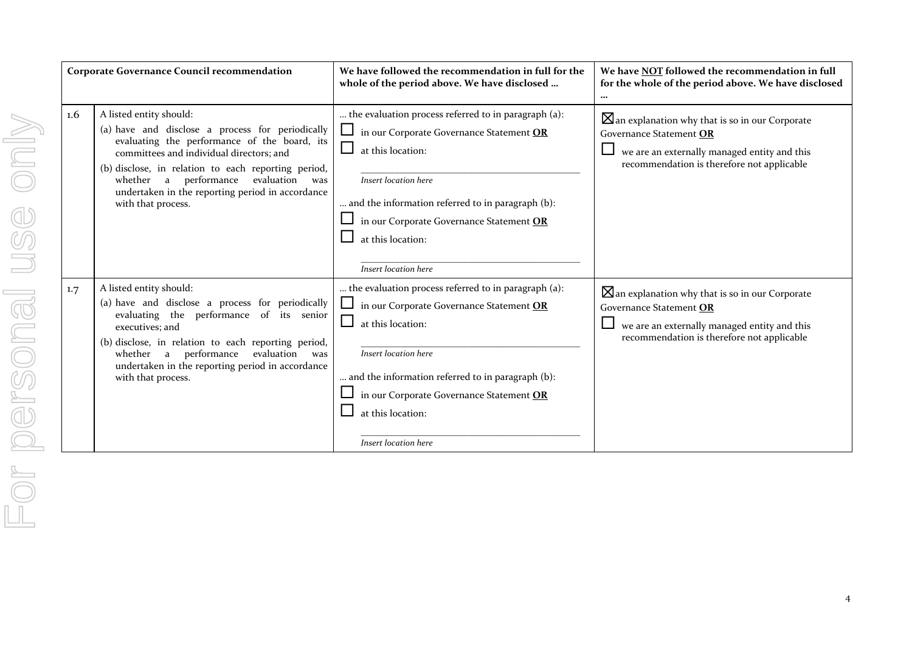| <b>Corporate Governance Council recommendation</b> |                                                                                                                                                                                                                                                                                                                                                     | We have followed the recommendation in full for the<br>whole of the period above. We have disclosed                                                                                                                                                                                                        | We have NOT followed the recommendation in full<br>for the whole of the period above. We have disclosed<br>$\cdots$                                                                 |
|----------------------------------------------------|-----------------------------------------------------------------------------------------------------------------------------------------------------------------------------------------------------------------------------------------------------------------------------------------------------------------------------------------------------|------------------------------------------------------------------------------------------------------------------------------------------------------------------------------------------------------------------------------------------------------------------------------------------------------------|-------------------------------------------------------------------------------------------------------------------------------------------------------------------------------------|
| $1.6\,$                                            | A listed entity should:<br>(a) have and disclose a process for periodically<br>evaluating the performance of the board, its<br>committees and individual directors; and<br>(b) disclose, in relation to each reporting period,<br>whether a performance<br>evaluation was<br>undertaken in the reporting period in accordance<br>with that process. | the evaluation process referred to in paragraph (a):<br>in our Corporate Governance Statement OR<br>$\Box$<br>at this location:<br>Insert location here<br>and the information referred to in paragraph (b):<br>in our Corporate Governance Statement OR<br>ப<br>at this location:<br>Insert location here | $\boxtimes$ an explanation why that is so in our Corporate<br>Governance Statement OR<br>we are an externally managed entity and this<br>recommendation is therefore not applicable |
| 1.7                                                | A listed entity should:<br>(a) have and disclose a process for periodically<br>evaluating the performance of its senior<br>executives; and<br>(b) disclose, in relation to each reporting period,<br>whether a performance evaluation was<br>undertaken in the reporting period in accordance<br>with that process.                                 | the evaluation process referred to in paragraph (a):<br>Ц<br>in our Corporate Governance Statement OR<br>$\Box$<br>at this location:<br>Insert location here<br>and the information referred to in paragraph (b):<br>in our Corporate Governance Statement OR<br>at this location:<br>Insert location here | $\boxtimes$ an explanation why that is so in our Corporate<br>Governance Statement OR<br>we are an externally managed entity and this<br>recommendation is therefore not applicable |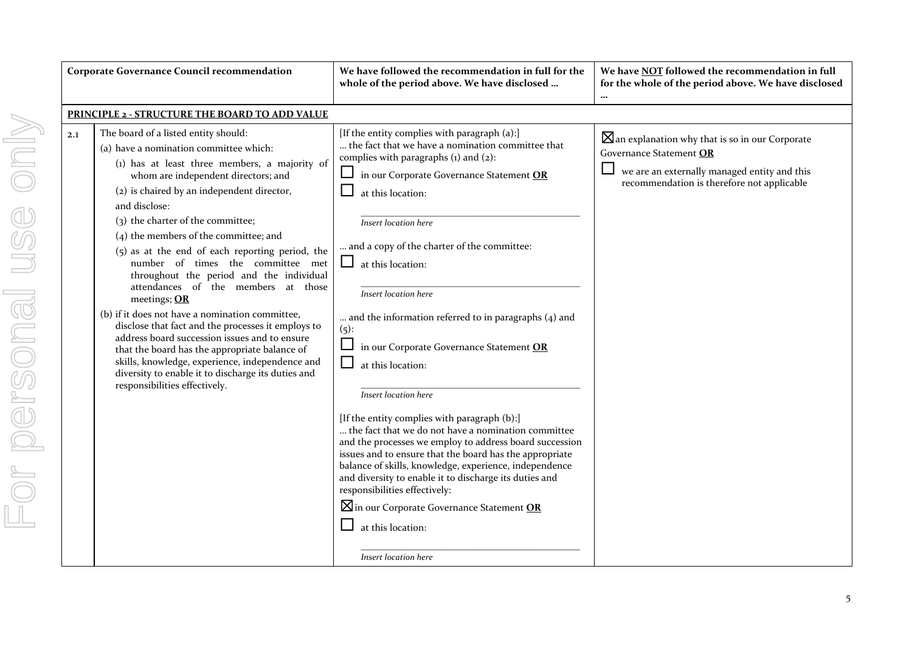| <b>Corporate Governance Council recommendation</b>                                                                                                                                                                                                                                                                                                                                                                                                                                                                                                                                                                                                                                                                                                                                                                                                                             | We have followed the recommendation in full for the<br>whole of the period above. We have disclosed                                                                                                                                                                                                                                                                                                                                                                                                                                                                                                                                                                                                                                                                                                                                                                                                                                                                                                  | We have NOT followed the recommendation in full<br>for the whole of the period above. We have disclosed                                                                             |
|--------------------------------------------------------------------------------------------------------------------------------------------------------------------------------------------------------------------------------------------------------------------------------------------------------------------------------------------------------------------------------------------------------------------------------------------------------------------------------------------------------------------------------------------------------------------------------------------------------------------------------------------------------------------------------------------------------------------------------------------------------------------------------------------------------------------------------------------------------------------------------|------------------------------------------------------------------------------------------------------------------------------------------------------------------------------------------------------------------------------------------------------------------------------------------------------------------------------------------------------------------------------------------------------------------------------------------------------------------------------------------------------------------------------------------------------------------------------------------------------------------------------------------------------------------------------------------------------------------------------------------------------------------------------------------------------------------------------------------------------------------------------------------------------------------------------------------------------------------------------------------------------|-------------------------------------------------------------------------------------------------------------------------------------------------------------------------------------|
| PRINCIPLE 2 - STRUCTURE THE BOARD TO ADD VALUE                                                                                                                                                                                                                                                                                                                                                                                                                                                                                                                                                                                                                                                                                                                                                                                                                                 |                                                                                                                                                                                                                                                                                                                                                                                                                                                                                                                                                                                                                                                                                                                                                                                                                                                                                                                                                                                                      |                                                                                                                                                                                     |
| The board of a listed entity should:<br>2.1<br>(a) have a nomination committee which:<br>(1) has at least three members, a majority of<br>whom are independent directors; and<br>(2) is chaired by an independent director,<br>and disclose:<br>(3) the charter of the committee;<br>$(4)$ the members of the committee; and<br>$(5)$ as at the end of each reporting period, the<br>number of times the committee met<br>throughout the period and the individual<br>attendances of the members at those<br>meetings; OR<br>(b) if it does not have a nomination committee,<br>disclose that fact and the processes it employs to<br>address board succession issues and to ensure<br>that the board has the appropriate balance of<br>skills, knowledge, experience, independence and<br>diversity to enable it to discharge its duties and<br>responsibilities effectively. | [If the entity complies with paragraph (a):]<br>the fact that we have a nomination committee that<br>complies with paragraphs (1) and (2):<br>Ц<br>in our Corporate Governance Statement OR<br>at this location:<br>Insert location here<br>and a copy of the charter of the committee:<br>at this location:<br>Insert location here<br>and the information referred to in paragraphs $(4)$ and<br>$(5)$ :<br>in our Corporate Governance Statement OR<br>$\Box$<br>at this location:<br>Insert location here<br>[If the entity complies with paragraph (b):]<br>the fact that we do not have a nomination committee<br>and the processes we employ to address board succession<br>issues and to ensure that the board has the appropriate<br>balance of skills, knowledge, experience, independence<br>and diversity to enable it to discharge its duties and<br>responsibilities effectively:<br>$\boxtimes$ in our Corporate Governance Statement OR<br>at this location:<br>Insert location here | $\boxtimes$ an explanation why that is so in our Corporate<br>Governance Statement OR<br>we are an externally managed entity and this<br>recommendation is therefore not applicable |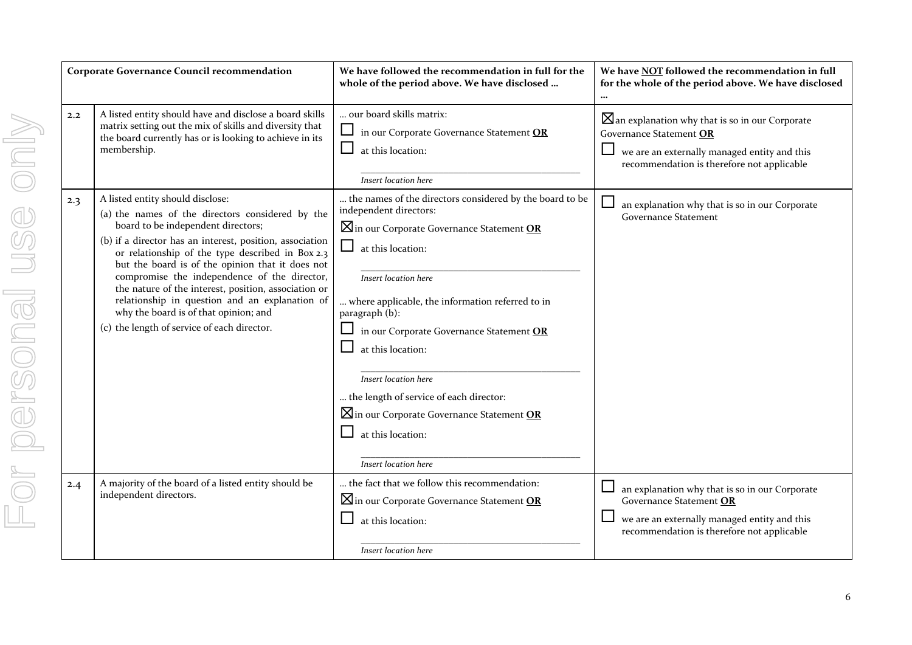| <b>Corporate Governance Cour</b> |                                                                                             |
|----------------------------------|---------------------------------------------------------------------------------------------|
| 2.2                              | A listed entity should l<br>matrix setting out the<br>the board currently ha<br>membership. |
| 2.3                              | A listed entity should o                                                                    |
|                                  | (a) the names of the<br>board to be indepe                                                  |
|                                  | (b) if a director has ar<br>or relationship of<br>but the board is o<br>compromise the i    |
|                                  | the nature of the ii<br>relationship in qu<br>why the board is of                           |
|                                  | (c) the length of servic                                                                    |
|                                  |                                                                                             |
|                                  |                                                                                             |
|                                  |                                                                                             |
|                                  |                                                                                             |
|                                  |                                                                                             |
| 2.4                              | A majority of the board<br>independent directors.                                           |
|                                  |                                                                                             |

| <b>Corporate Governance Council recommendation</b> |                                                                                                                                                                                                                                                                                                                                                                                                                                                                                                                                                  | We have followed the recommendation in full for the<br>whole of the period above. We have disclosed                                                                                                                                                                                                                                                                                                                                                                                                              | We have NOT followed the recommendation in full<br>for the whole of the period above. We have disclosed                                                                             |
|----------------------------------------------------|--------------------------------------------------------------------------------------------------------------------------------------------------------------------------------------------------------------------------------------------------------------------------------------------------------------------------------------------------------------------------------------------------------------------------------------------------------------------------------------------------------------------------------------------------|------------------------------------------------------------------------------------------------------------------------------------------------------------------------------------------------------------------------------------------------------------------------------------------------------------------------------------------------------------------------------------------------------------------------------------------------------------------------------------------------------------------|-------------------------------------------------------------------------------------------------------------------------------------------------------------------------------------|
| 2.2                                                | A listed entity should have and disclose a board skills<br>matrix setting out the mix of skills and diversity that<br>the board currently has or is looking to achieve in its<br>membership.                                                                                                                                                                                                                                                                                                                                                     | our board skills matrix:<br>⊔<br>in our Corporate Governance Statement OR<br>at this location:<br>Insert location here                                                                                                                                                                                                                                                                                                                                                                                           | $\boxtimes$ an explanation why that is so in our Corporate<br>Governance Statement OR<br>we are an externally managed entity and this<br>recommendation is therefore not applicable |
| 2.3                                                | A listed entity should disclose:<br>(a) the names of the directors considered by the<br>board to be independent directors;<br>(b) if a director has an interest, position, association<br>or relationship of the type described in Box 2.3<br>but the board is of the opinion that it does not<br>compromise the independence of the director,<br>the nature of the interest, position, association or<br>relationship in question and an explanation of<br>why the board is of that opinion; and<br>(c) the length of service of each director. | the names of the directors considered by the board to be<br>independent directors:<br>$\boxtimes$ in our Corporate Governance Statement OR<br>$\Box$<br>at this location:<br>Insert location here<br>where applicable, the information referred to in<br>paragraph (b):<br>in our Corporate Governance Statement OR<br>at this location:<br>Insert location here<br>the length of service of each director:<br>$\boxtimes$ in our Corporate Governance Statement OR<br>at this location:<br>Insert location here | an explanation why that is so in our Corporate<br><b>Governance Statement</b>                                                                                                       |
| 2.4                                                | A majority of the board of a listed entity should be<br>independent directors.                                                                                                                                                                                                                                                                                                                                                                                                                                                                   | the fact that we follow this recommendation:<br>$\boxtimes$ in our Corporate Governance Statement OR<br>at this location:<br>ப<br>Insert location here                                                                                                                                                                                                                                                                                                                                                           | an explanation why that is so in our Corporate<br>$\Box$<br>Governance Statement OR<br>we are an externally managed entity and this<br>recommendation is therefore not applicable   |

6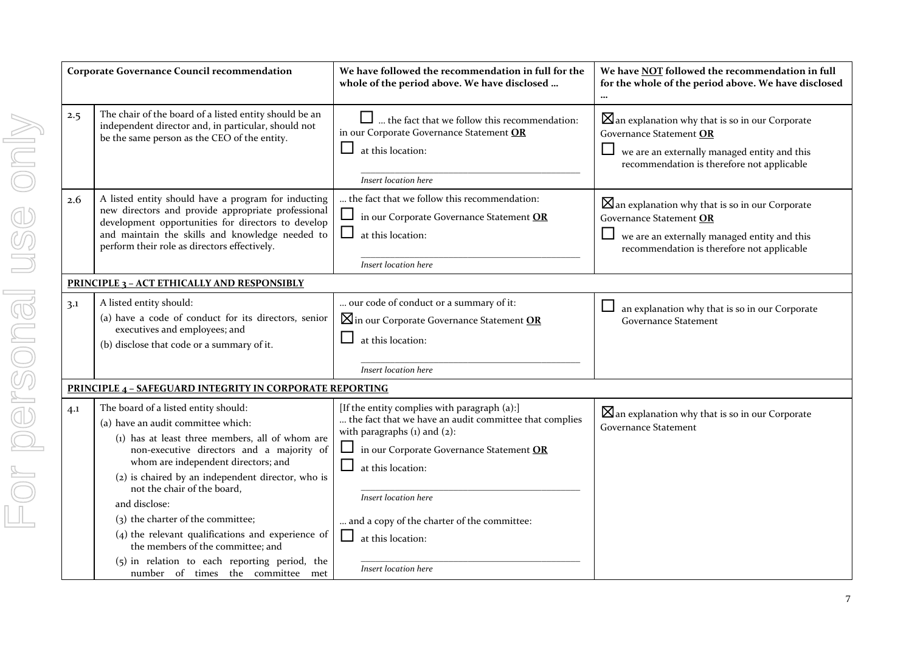|                             | <b>Corporate Governance Council recommendation</b>                                                                                                                                                                                                                                                                                                                                                                                                      | We have followed the recommendation in full for the<br>whole of the period above. We have disclosed                                                                                                                                                                                                      |
|-----------------------------|---------------------------------------------------------------------------------------------------------------------------------------------------------------------------------------------------------------------------------------------------------------------------------------------------------------------------------------------------------------------------------------------------------------------------------------------------------|----------------------------------------------------------------------------------------------------------------------------------------------------------------------------------------------------------------------------------------------------------------------------------------------------------|
| 2.5<br>VIIO POTSONAI USS ON | The chair of the board of a listed entity should be an<br>independent director and, in particular, should not<br>be the same person as the CEO of the entity.                                                                                                                                                                                                                                                                                           | $\Box$ the fact that we follow this recommendation:<br>in our Corporate Governance Statement OR<br>at this location:<br>Insert location here                                                                                                                                                             |
| 2.6                         | A listed entity should have a program for inducting<br>new directors and provide appropriate professional<br>development opportunities for directors to develop<br>and maintain the skills and knowledge needed to<br>perform their role as directors effectively.                                                                                                                                                                                      | the fact that we follow this recommendation:<br>in our Corporate Governance Statement OR<br>at this location:<br>Insert location here                                                                                                                                                                    |
|                             | <b>PRINCIPLE 3 - ACT ETHICALLY AND RESPONSIBLY</b>                                                                                                                                                                                                                                                                                                                                                                                                      |                                                                                                                                                                                                                                                                                                          |
| 3.1                         | A listed entity should:<br>(a) have a code of conduct for its directors, senior<br>executives and employees; and<br>(b) disclose that code or a summary of it.                                                                                                                                                                                                                                                                                          | our code of conduct or a summary of it:<br>$\boxtimes$ in our Corporate Governance Statement OR<br>at this location:<br>Insert location here                                                                                                                                                             |
|                             | <b>PRINCIPLE 4 - SAFEGUARD INTEGRITY IN CORPORATE REPORTING</b>                                                                                                                                                                                                                                                                                                                                                                                         |                                                                                                                                                                                                                                                                                                          |
| 4.1                         | The board of a listed entity should:<br>(a) have an audit committee which:<br>(1) has at least three members, all of whom are<br>non-executive directors and a majority of<br>whom are independent directors; and<br>(2) is chaired by an independent director, who is<br>not the chair of the board,<br>and disclose:<br>(3) the charter of the committee;<br>$(4)$ the relevant qualifications and experience of<br>the members of the committee: and | [If the entity complies with paragraph (a):]<br>the fact that we have an audit committee that complies<br>with paragraphs $(i)$ and $(2)$ :<br>in our Corporate Governance Statement OR<br>at this location:<br>Insert location here<br>and a copy of the charter of the committee:<br>at this location: |

*Insert location here*

**We have NOT followed the recommendation in full for the whole of the period above. We have disclosed**

 $\boxtimes$ an explanation why that is so in our Corporate

 $\boxtimes$ an explanation why that is so in our Corporate

 we are an externally managed entity and this recommendation is therefore not applicable

an explanation why that is so in our Corporate

 $\boxtimes$ an explanation why that is so in our Corporate

 we are an externally managed entity and this recommendation is therefore not applicable

Governance Statement **OR**

Governance Statement **OR**

Governance Statement

Governance Statement

**…**

 $\Box$ 

 $\Box$ 

 $\Box$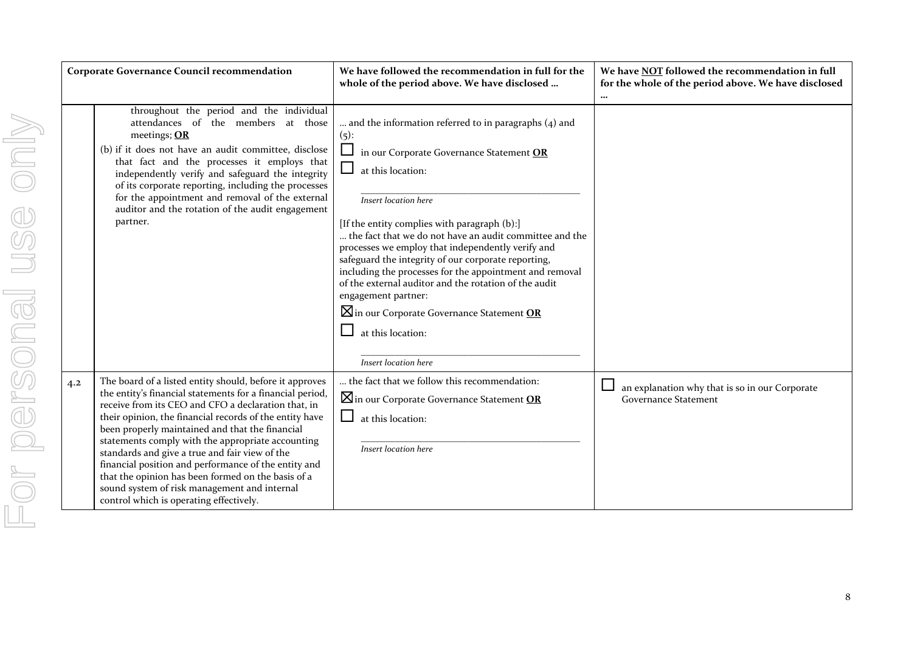| <b>Corporate Governance Council recommendation</b>                                                                                                                                                                                                                                                                                                                                                                                                                                                                                                                                                               | We have followed the recommendation in full for the<br>whole of the period above. We have disclosed                                                                                                                                                                                                                                                                                                                                                                                                                                                                                                                                                 | We have NOT followed the recommendation in full<br>for the whole of the period above. We have disclosed<br>$\cdots$ |
|------------------------------------------------------------------------------------------------------------------------------------------------------------------------------------------------------------------------------------------------------------------------------------------------------------------------------------------------------------------------------------------------------------------------------------------------------------------------------------------------------------------------------------------------------------------------------------------------------------------|-----------------------------------------------------------------------------------------------------------------------------------------------------------------------------------------------------------------------------------------------------------------------------------------------------------------------------------------------------------------------------------------------------------------------------------------------------------------------------------------------------------------------------------------------------------------------------------------------------------------------------------------------------|---------------------------------------------------------------------------------------------------------------------|
| throughout the period and the individual<br>attendances of the members at those<br>meetings; OR<br>(b) if it does not have an audit committee, disclose<br>that fact and the processes it employs that<br>independently verify and safeguard the integrity<br>of its corporate reporting, including the processes<br>for the appointment and removal of the external<br>auditor and the rotation of the audit engagement<br>partner.                                                                                                                                                                             | and the information referred to in paragraphs $(4)$ and<br>$(5)$ :<br>$\Box$ in our Corporate Governance Statement OR<br>$\Box$<br>at this location:<br>Insert location here<br>[If the entity complies with paragraph (b):]<br>the fact that we do not have an audit committee and the<br>processes we employ that independently verify and<br>safeguard the integrity of our corporate reporting,<br>including the processes for the appointment and removal<br>of the external auditor and the rotation of the audit<br>engagement partner:<br>$\boxtimes$ in our Corporate Governance Statement OR<br>at this location:<br>Insert location here |                                                                                                                     |
| The board of a listed entity should, before it approves<br>4.2<br>the entity's financial statements for a financial period,<br>receive from its CEO and CFO a declaration that, in<br>their opinion, the financial records of the entity have<br>been properly maintained and that the financial<br>statements comply with the appropriate accounting<br>standards and give a true and fair view of the<br>financial position and performance of the entity and<br>that the opinion has been formed on the basis of a<br>sound system of risk management and internal<br>control which is operating effectively. | the fact that we follow this recommendation:<br>$\boxtimes$ in our Corporate Governance Statement OR<br>ப<br>at this location:<br>Insert location here                                                                                                                                                                                                                                                                                                                                                                                                                                                                                              | an explanation why that is so in our Corporate<br><b>Governance Statement</b>                                       |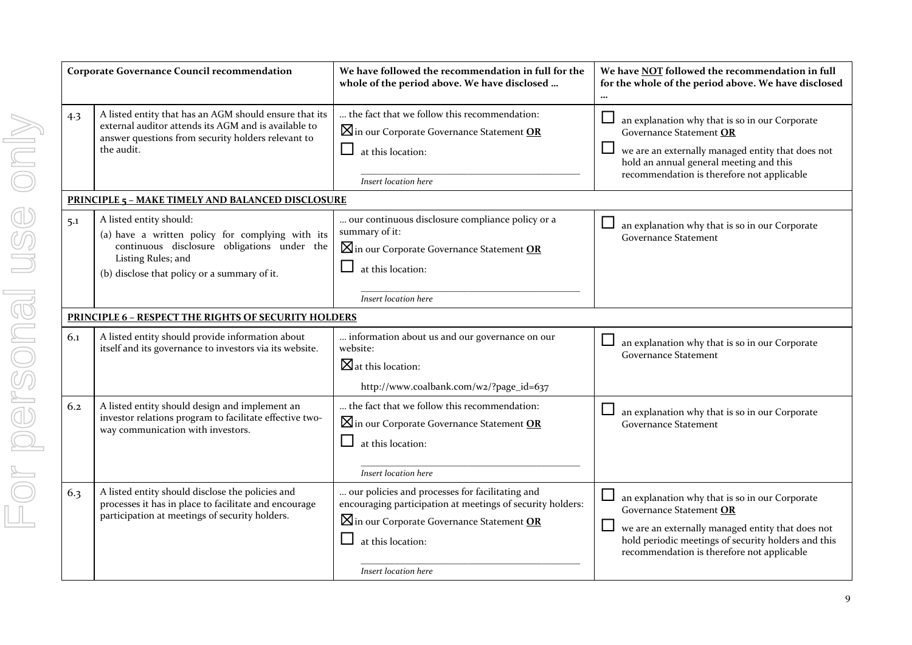|     | <b>Corporate Governance Co</b>                                                                                   |
|-----|------------------------------------------------------------------------------------------------------------------|
| 4.3 | A listed entity that h<br>external auditor atte<br>answer questions fro<br>the audit.                            |
|     | <b>PRINCIPLE 5 - MAKE TIM</b>                                                                                    |
| 5.1 | A listed entity should<br>(a) have a written<br>dis<br>continuous<br>Listing Rules; an<br>(b) disclose that poli |
|     | <b>PRINCIPLE 6 - RESPECT T</b>                                                                                   |
| 6.1 | A listed entity shoul<br>itself and its governa                                                                  |
| 6.2 | A listed entity shoul<br>investor relations pr<br>way communication                                              |
|     |                                                                                                                  |
| 6.3 | A listed entity shoul<br>processes it has in pl<br>participation at mee                                          |

| <b>Corporate Governance Council recommendation</b> |                                                                                                                                                                                                  | We have followed the recommendation in full for the<br>whole of the period above. We have disclosed                                                                                                                | We have NOT followed the recommendation in full<br>for the whole of the period above. We have disclosed                                                                                                                                       |
|----------------------------------------------------|--------------------------------------------------------------------------------------------------------------------------------------------------------------------------------------------------|--------------------------------------------------------------------------------------------------------------------------------------------------------------------------------------------------------------------|-----------------------------------------------------------------------------------------------------------------------------------------------------------------------------------------------------------------------------------------------|
| 4.3                                                | A listed entity that has an AGM should ensure that its<br>external auditor attends its AGM and is available to<br>answer questions from security holders relevant to<br>the audit.               | the fact that we follow this recommendation:<br>$\boxtimes$ in our Corporate Governance Statement OR<br>⊔<br>at this location:<br>Insert location here                                                             | $\sqcup$<br>an explanation why that is so in our Corporate<br>Governance Statement OR<br>⊔<br>we are an externally managed entity that does not<br>hold an annual general meeting and this<br>recommendation is therefore not applicable      |
|                                                    | <b>PRINCIPLE 5 - MAKE TIMELY AND BALANCED DISCLOSURE</b>                                                                                                                                         |                                                                                                                                                                                                                    |                                                                                                                                                                                                                                               |
| 5.1                                                | A listed entity should:<br>(a) have a written policy for complying with its<br>continuous disclosure obligations under the<br>Listing Rules; and<br>(b) disclose that policy or a summary of it. | our continuous disclosure compliance policy or a<br>summary of it:<br>$\boxtimes$ in our Corporate Governance Statement OR<br>at this location:<br>Insert location here                                            | an explanation why that is so in our Corporate<br>ப<br><b>Governance Statement</b>                                                                                                                                                            |
|                                                    | <b>PRINCIPLE 6 - RESPECT THE RIGHTS OF SECURITY HOLDERS</b>                                                                                                                                      |                                                                                                                                                                                                                    |                                                                                                                                                                                                                                               |
| 6.1                                                | A listed entity should provide information about<br>itself and its governance to investors via its website.                                                                                      | information about us and our governance on our<br>website:<br>$\boxtimes$ at this location:<br>http://www.coalbank.com/w2/?page_id=637                                                                             | ப<br>an explanation why that is so in our Corporate<br><b>Governance Statement</b>                                                                                                                                                            |
| 6.2                                                | A listed entity should design and implement an<br>investor relations program to facilitate effective two-<br>way communication with investors.                                                   | the fact that we follow this recommendation:<br>$\boxtimes$ in our Corporate Governance Statement OR<br>at this location:<br>Insert location here                                                                  | ப<br>an explanation why that is so in our Corporate<br><b>Governance Statement</b>                                                                                                                                                            |
| 6.3                                                | A listed entity should disclose the policies and<br>processes it has in place to facilitate and encourage<br>participation at meetings of security holders.                                      | our policies and processes for facilitating and<br>encouraging participation at meetings of security holders:<br>$\boxtimes$ in our Corporate Governance Statement OR<br>at this location:<br>Insert location here | an explanation why that is so in our Corporate<br>Governance Statement OR<br>$\Box$<br>we are an externally managed entity that does not<br>hold periodic meetings of security holders and this<br>recommendation is therefore not applicable |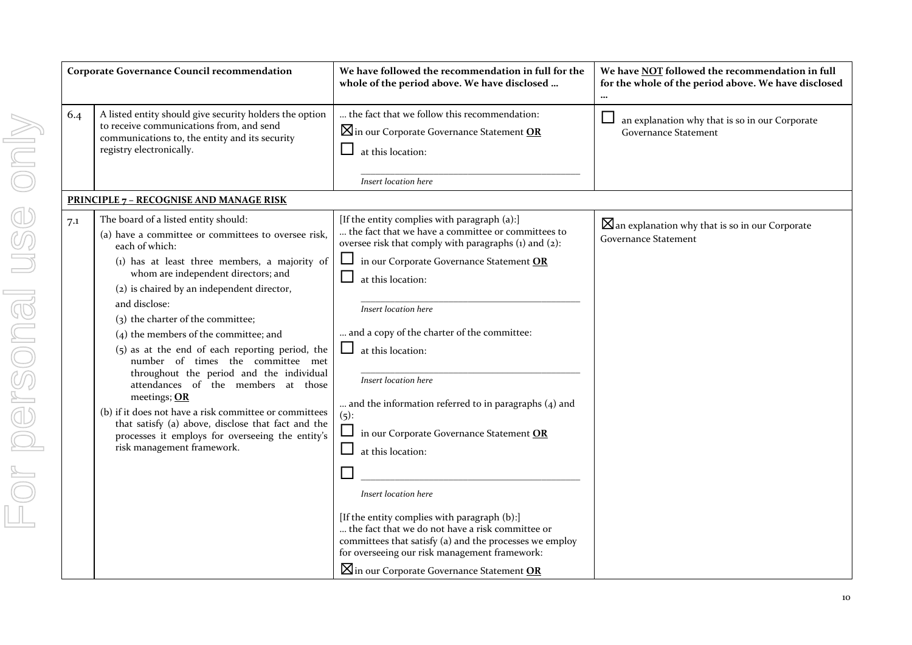| <b>Corporate Governance Council recommendation</b> |                                                                                                                                                                                                                                                                                                                                                                                                                                                                                                                                                                                                                                                                                                                                                   | We have followed the recommendation in full for the<br>whole of the period above. We have disclosed                                                                                                                                                                                                                                                                                                                                                                                                                                                                                                                                                                                                               | We have NOT followed the recommendation in full<br>for the whole of the period above. We have disclosed |
|----------------------------------------------------|---------------------------------------------------------------------------------------------------------------------------------------------------------------------------------------------------------------------------------------------------------------------------------------------------------------------------------------------------------------------------------------------------------------------------------------------------------------------------------------------------------------------------------------------------------------------------------------------------------------------------------------------------------------------------------------------------------------------------------------------------|-------------------------------------------------------------------------------------------------------------------------------------------------------------------------------------------------------------------------------------------------------------------------------------------------------------------------------------------------------------------------------------------------------------------------------------------------------------------------------------------------------------------------------------------------------------------------------------------------------------------------------------------------------------------------------------------------------------------|---------------------------------------------------------------------------------------------------------|
| 6.4                                                | A listed entity should give security holders the option<br>to receive communications from, and send<br>communications to, the entity and its security<br>registry electronically.                                                                                                                                                                                                                                                                                                                                                                                                                                                                                                                                                                 | the fact that we follow this recommendation:<br><b>X</b> in our Corporate Governance Statement OR<br>at this location:<br>Insert location here                                                                                                                                                                                                                                                                                                                                                                                                                                                                                                                                                                    | an explanation why that is so in our Corporate<br><b>Governance Statement</b>                           |
|                                                    | PRINCIPLE 7 - RECOGNISE AND MANAGE RISK                                                                                                                                                                                                                                                                                                                                                                                                                                                                                                                                                                                                                                                                                                           |                                                                                                                                                                                                                                                                                                                                                                                                                                                                                                                                                                                                                                                                                                                   |                                                                                                         |
| 7.1                                                | The board of a listed entity should:<br>(a) have a committee or committees to oversee risk,<br>each of which:<br>(1) has at least three members, a majority of<br>whom are independent directors; and<br>(2) is chaired by an independent director,<br>and disclose:<br>(3) the charter of the committee;<br>(4) the members of the committee; and<br>$(5)$ as at the end of each reporting period, the<br>number of times the committee met<br>throughout the period and the individual<br>attendances of the members at those<br>meetings; OR<br>(b) if it does not have a risk committee or committees<br>that satisfy (a) above, disclose that fact and the<br>processes it employs for overseeing the entity's<br>risk management framework. | [If the entity complies with paragraph (a):]<br>the fact that we have a committee or committees to<br>oversee risk that comply with paragraphs (1) and (2):<br>in our Corporate Governance Statement OR<br>at this location:<br>Insert location here<br>and a copy of the charter of the committee:<br>at this location:<br>Insert location here<br>and the information referred to in paragraphs $(4)$ and<br>(5):<br>$\Box$<br>in our Corporate Governance Statement OR<br>$\overline{\phantom{a}}$<br>at this location:<br>Insert location here<br>[If the entity complies with paragraph (b):]<br>the fact that we do not have a risk committee or<br>committees that satisfy (a) and the processes we employ | $\boxtimes$ an explanation why that is so in our Corporate<br><b>Governance Statement</b>               |
|                                                    |                                                                                                                                                                                                                                                                                                                                                                                                                                                                                                                                                                                                                                                                                                                                                   | for overseeing our risk management framework:<br>$\boxtimes$ in our Corporate Governance Statement OR                                                                                                                                                                                                                                                                                                                                                                                                                                                                                                                                                                                                             |                                                                                                         |

10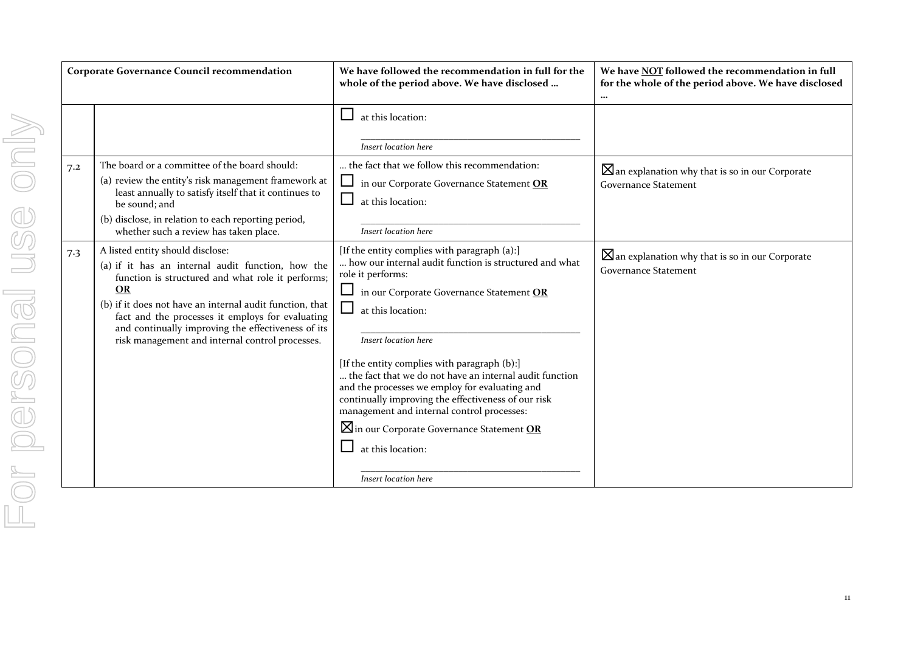| <b>Corporate Governance Council recommendation</b> |                                                                                                                                                                                                                                                                                                                                                                                  | We have followed the recommendation in full for the<br>whole of the period above. We have disclosed                                                                                                                                                                                                                                                                                                                                                                                                                                                                                         | We have NOT followed the recommendation in full<br>for the whole of the period above. We have disclosed<br>$\cdots$ |
|----------------------------------------------------|----------------------------------------------------------------------------------------------------------------------------------------------------------------------------------------------------------------------------------------------------------------------------------------------------------------------------------------------------------------------------------|---------------------------------------------------------------------------------------------------------------------------------------------------------------------------------------------------------------------------------------------------------------------------------------------------------------------------------------------------------------------------------------------------------------------------------------------------------------------------------------------------------------------------------------------------------------------------------------------|---------------------------------------------------------------------------------------------------------------------|
|                                                    |                                                                                                                                                                                                                                                                                                                                                                                  | at this location:<br><b>Insert location here</b>                                                                                                                                                                                                                                                                                                                                                                                                                                                                                                                                            |                                                                                                                     |
| 7.2                                                | The board or a committee of the board should:<br>(a) review the entity's risk management framework at<br>least annually to satisfy itself that it continues to<br>be sound; and<br>(b) disclose, in relation to each reporting period,<br>whether such a review has taken place.                                                                                                 | the fact that we follow this recommendation:<br>in our Corporate Governance Statement OR<br>at this location:<br>Insert location here                                                                                                                                                                                                                                                                                                                                                                                                                                                       | $\boxtimes$ an explanation why that is so in our Corporate<br><b>Governance Statement</b>                           |
| 7.3                                                | A listed entity should disclose:<br>(a) if it has an internal audit function, how the<br>function is structured and what role it performs;<br><b>OR</b><br>(b) if it does not have an internal audit function, that<br>fact and the processes it employs for evaluating<br>and continually improving the effectiveness of its<br>risk management and internal control processes. | [If the entity complies with paragraph (a):]<br>how our internal audit function is structured and what<br>role it performs:<br>in our Corporate Governance Statement OR<br>at this location:<br>Insert location here<br>[If the entity complies with paragraph (b):]<br>the fact that we do not have an internal audit function<br>and the processes we employ for evaluating and<br>continually improving the effectiveness of our risk<br>management and internal control processes:<br>$\boxtimes$ in our Corporate Governance Statement OR<br>at this location:<br>Insert location here | $\boxtimes$ an explanation why that is so in our Corporate<br><b>Governance Statement</b>                           |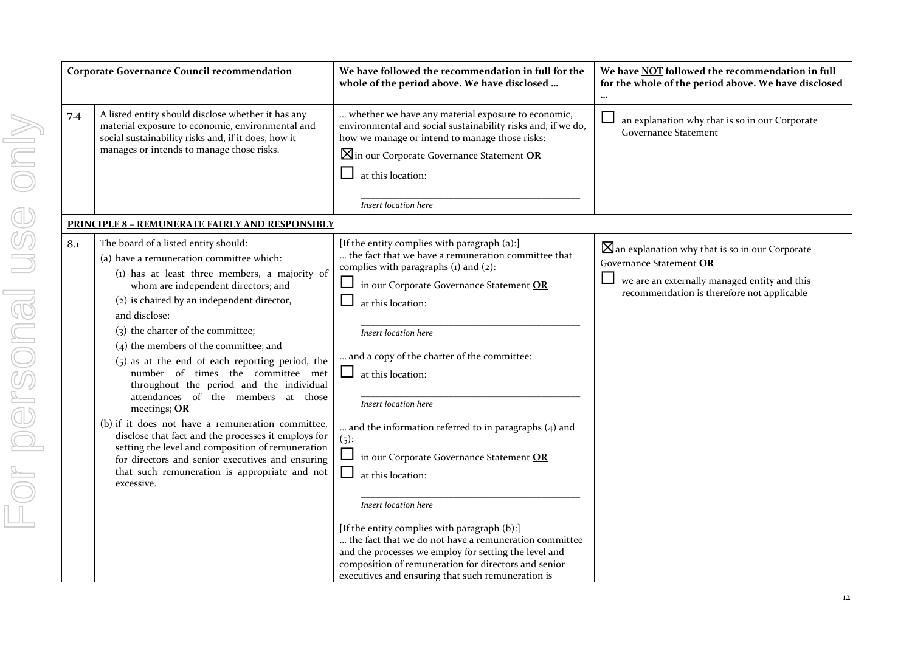|                             | <b>Corporate Governance Council recommendation</b>                                                                                                                                                                                                                                                                                                                                                                                                                                                                                                                                                                                                                                                                                                                                                       | We have followed the recommendation in full for the<br>whole of the period above. We have disclosed                                                                                                                                                                                                                                                                                                                                                                                                                                                                                                                                                                   |  |  |  |  |  |
|-----------------------------|----------------------------------------------------------------------------------------------------------------------------------------------------------------------------------------------------------------------------------------------------------------------------------------------------------------------------------------------------------------------------------------------------------------------------------------------------------------------------------------------------------------------------------------------------------------------------------------------------------------------------------------------------------------------------------------------------------------------------------------------------------------------------------------------------------|-----------------------------------------------------------------------------------------------------------------------------------------------------------------------------------------------------------------------------------------------------------------------------------------------------------------------------------------------------------------------------------------------------------------------------------------------------------------------------------------------------------------------------------------------------------------------------------------------------------------------------------------------------------------------|--|--|--|--|--|
| 7.4                         | A listed entity should disclose whether it has any<br>material exposure to economic, environmental and<br>social sustainability risks and, if it does, how it<br>manages or intends to manage those risks.                                                                                                                                                                                                                                                                                                                                                                                                                                                                                                                                                                                               | whether we have any material exposure to economic,<br>environmental and social sustainability risks and, if we do,<br>how we manage or intend to manage those risks:<br>$\boxtimes$ in our Corporate Governance Statement OR<br>at this location:<br>Insert location here                                                                                                                                                                                                                                                                                                                                                                                             |  |  |  |  |  |
|                             | <b>PRINCIPLE 8 - REMUNERATE FAIRLY AND RESPONSIBLY</b>                                                                                                                                                                                                                                                                                                                                                                                                                                                                                                                                                                                                                                                                                                                                                   |                                                                                                                                                                                                                                                                                                                                                                                                                                                                                                                                                                                                                                                                       |  |  |  |  |  |
| or personal use only<br>8.1 | The board of a listed entity should:<br>(a) have a remuneration committee which:<br>(1) has at least three members, a majority of<br>whom are independent directors; and<br>(2) is chaired by an independent director,<br>and disclose:<br>(3) the charter of the committee;<br>$(4)$ the members of the committee; and<br>$(5)$ as at the end of each reporting period, the<br>number of times the committee met<br>throughout the period and the individual<br>attendances of the members at those<br>meetings; OR<br>(b) if it does not have a remuneration committee,<br>disclose that fact and the processes it employs for<br>setting the level and composition of remuneration<br>for directors and senior executives and ensuring<br>that such remuneration is appropriate and not<br>excessive. | [If the entity complies with paragraph (a):]<br>the fact that we have a remuneration committee that<br>complies with paragraphs $(i)$ and $(2)$ :<br>in our Corporate Governance Statement OR<br>at this location:<br>Insert location here<br>and a copy of the charter of the committee:<br>at this location:<br>Insert location here<br>and the information referred to in paragraphs (4) and<br>$(5)$ :<br>in our Corporate Governance Statement OR<br>at this location:<br>Insert location here<br>[If the entity complies with paragraph (b):]<br>the fact that we do not have a remuneration committee<br>and the processes we employ for setting the level and |  |  |  |  |  |

# **…** ure to economic,  $\nu$  risks and, if we do, .<br>hose risks: ement **OR**  $\Box$  an explanation why that is so in our Corporate Governance Statement committee that tement <mark>OR</mark> mittee: aragraphs  $(4)$  and tement **OR**  $\boxtimes$ an explanation why that is so in our Corporate Governance Statement **OR**  $\Box$  we are an externally managed entity and this recommendation is therefore not applicable

composition of remuneration for directors and senior executives and ensuring that such remuneration is

**We have NOT followed the recommendation in full for the whole of the period above. We have disclosed**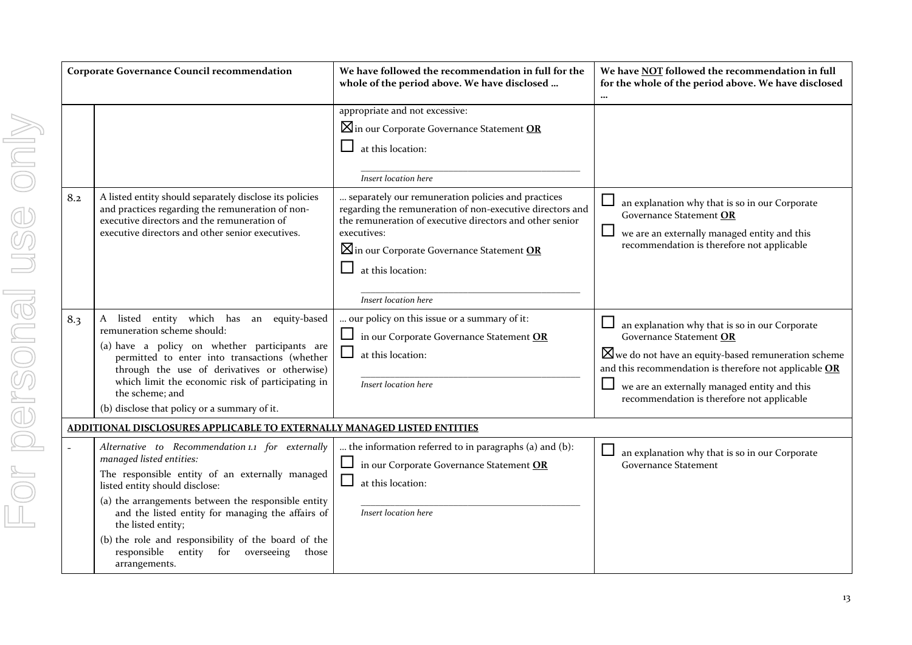|                | <b>Corporate Governance Council recommendation</b> |                                                                                                                                                                                                                                                                                                                      |
|----------------|----------------------------------------------------|----------------------------------------------------------------------------------------------------------------------------------------------------------------------------------------------------------------------------------------------------------------------------------------------------------------------|
| <b>MUN</b>     |                                                    |                                                                                                                                                                                                                                                                                                                      |
|                | 8.2                                                | A listed entity should separately disclose its policies<br>and practices regarding the remuneration of non-<br>executive directors and the remuneration of<br>executive directors and other senior executives.                                                                                                       |
| <b>Dersona</b> | 8.3                                                | which<br>has<br>A<br>listed<br>entity<br>equity-based<br>an<br>remuneration scheme should:<br>(a) have a policy on whether participants are<br>permitted to enter into transactions (whether<br>through the use of derivatives or otherwise)<br>which limit the economic risk of participating in<br>the scheme; and |
|                |                                                    | (b) disclose that policy or a summary of it.                                                                                                                                                                                                                                                                         |
|                |                                                    | <u>ADDITIONAL DISCLOSURES APPLICABLE TO EXTERNAL</u>                                                                                                                                                                                                                                                                 |
|                |                                                    | Alternative to Recommendation 1.1 for externally<br>managed listed entities:<br>The responsible entity of an externally managed                                                                                                                                                                                      |
|                |                                                    | listed entity should disclose:<br>(a) the arrangements between the responsible entity<br>and the listed entity for managing the affairs of<br>the listed entity;                                                                                                                                                     |
|                |                                                    | (b) the role and responsibility of the board of the                                                                                                                                                                                                                                                                  |

| sted entity should separately disclose its policies<br>practices regarding the remuneration of non-<br>cutive directors and the remuneration of<br>cutive directors and other senior executives.                                                                                                                                      | $\boxtimes$ in our Corporate Governance Statement OR<br>$\Box$<br>at this location:<br>Insert location here<br>separately our remuneration policies and practices<br>regarding the remuneration of non-executive directors and<br>the remuneration of executive directors and other senior<br>executives:<br>$\boxtimes$ in our Corporate Governance Statement OR<br>ப<br>at this location:<br>Insert location here | an explanation why that is so in our Corporate<br>Governance Statement OR<br>we are an externally managed entity and this<br>recommendation is therefore not applicable                                                                                                                             |
|---------------------------------------------------------------------------------------------------------------------------------------------------------------------------------------------------------------------------------------------------------------------------------------------------------------------------------------|---------------------------------------------------------------------------------------------------------------------------------------------------------------------------------------------------------------------------------------------------------------------------------------------------------------------------------------------------------------------------------------------------------------------|-----------------------------------------------------------------------------------------------------------------------------------------------------------------------------------------------------------------------------------------------------------------------------------------------------|
| listed entity which has an equity-based<br>uneration scheme should:<br>have a policy on whether participants are<br>permitted to enter into transactions (whether<br>through the use of derivatives or otherwise)<br>which limit the economic risk of participating in<br>the scheme; and<br>disclose that policy or a summary of it. | our policy on this issue or a summary of it:<br>in our Corporate Governance Statement OR<br>$\Box$<br>at this location:<br>Insert location here                                                                                                                                                                                                                                                                     | an explanation why that is so in our Corporate<br>Governance Statement OR<br>$\boxtimes$ we do not have an equity-based remuneration scheme<br>and this recommendation is therefore not applicable OR<br>we are an externally managed entity and this<br>recommendation is therefore not applicable |
| <u>IAL DISCLOSURES APPLICABLE TO EXTERNALLY MANAGED LISTED ENTITIES</u><br>rnative to Recommendation 1.1 for externally<br>aged listed entities:<br>responsible entity of an externally managed<br>ed entity should disclose:<br>the arrangements between the responsible entity                                                      | the information referred to in paragraphs (a) and (b):<br>in our Corporate Governance Statement OR<br>$\Box$<br>$\Box$<br>at this location:                                                                                                                                                                                                                                                                         | an explanation why that is so in our Corporate<br><b>Governance Statement</b>                                                                                                                                                                                                                       |
| and the listed entity for managing the affairs of<br>the listed entity;<br>the role and responsibility of the board of the<br>responsible<br>entity<br>for<br>overseeing<br>those<br>arrangements.                                                                                                                                    | Insert location here                                                                                                                                                                                                                                                                                                                                                                                                |                                                                                                                                                                                                                                                                                                     |

**Corporate Governance Council recommendation We have followed the recommendation in full for the whole of the period above. We have disclosed …**

appropriate and not excessive:

**We have NOT followed the recommendation in full for the whole of the period above. We have disclosed**

**…**